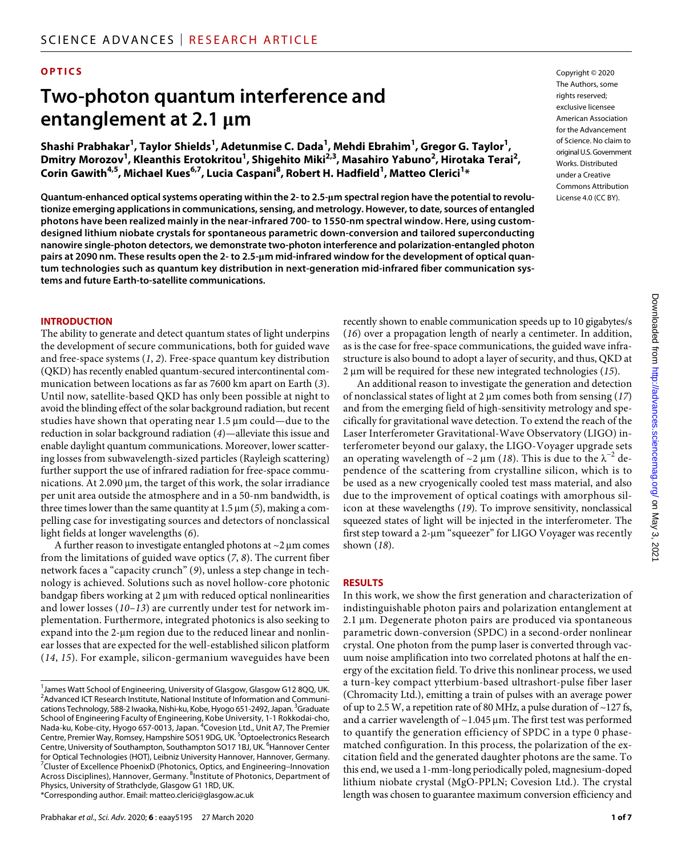# **OPTICS**

# **Two-photon quantum interference and entanglement at 2.1 m**

**Shashi Prabhakar1 , Taylor Shields1 , Adetunmise C. Dada1 , Mehdi Ebrahim1 , Gregor G. Taylor1 , Dmitry Morozov1 , Kleanthis Erotokritou1 , Shigehito Miki2,3, Masahiro Yabuno2 , Hirotaka Terai2 , Corin Gawith4,5, Michael Kues6,7, Lucia Caspani8 , Robert H. Hadfield1 , Matteo Clerici1 \***

**Quantum-enhanced optical systems operating within the 2- to 2.5-m spectral region have the potential to revolutionize emerging applications in communications, sensing, and metrology. However, to date, sources of entangled photons have been realized mainly in the near-infrared 700- to 1550-nm spectral window. Here, using customdesigned lithium niobate crystals for spontaneous parametric down-conversion and tailored superconducting nanowire single-photon detectors, we demonstrate two-photon interference and polarization-entangled photon pairs at 2090 nm. These results open the 2- to 2.5-m mid-infrared window for the development of optical quantum technologies such as quantum key distribution in next-generation mid-infrared fiber communication systems and future Earth-to-satellite communications.**

Copyright © 2020 The Authors, some rights reserved: exclusive licensee American Association for the Advancement of Science. No claim to original U.S.Government Works. Distributed under a Creative Commons Attribution License 4.0 (CC BY).

#### **INTRODUCTION**

The ability to generate and detect quantum states of light underpins the development of secure communications, both for guided wave and free-space systems (*1*, *2*). Free-space quantum key distribution (QKD) has recently enabled quantum-secured intercontinental communication between locations as far as 7600 km apart on Earth (*3*). Until now, satellite-based QKD has only been possible at night to avoid the blinding effect of the solar background radiation, but recent studies have shown that operating near  $1.5 \mu m$  could—due to the reduction in solar background radiation (*4*)—alleviate this issue and enable daylight quantum communications. Moreover, lower scattering losses from subwavelength-sized particles (Rayleigh scattering) further support the use of infrared radiation for free-space communications. At  $2.090 \,\mu$ m, the target of this work, the solar irradiance per unit area outside the atmosphere and in a 50-nm bandwidth, is three times lower than the same quantity at  $1.5 \mu m$  (5), making a compelling case for investigating sources and detectors of nonclassical light fields at longer wavelengths (*6*).

A further reason to investigate entangled photons at  $\sim$ 2 µm comes from the limitations of guided wave optics (*7*, *8*). The current fiber network faces a "capacity crunch" (*9*), unless a step change in technology is achieved. Solutions such as novel hollow-core photonic bandgap fibers working at 2 µm with reduced optical nonlinearities and lower losses (*10*–*13*) are currently under test for network implementation. Furthermore, integrated photonics is also seeking to expand into the 2-um region due to the reduced linear and nonlinear losses that are expected for the well-established silicon platform (*14*, *15*). For example, silicon-germanium waveguides have been

recently shown to enable communication speeds up to 10 gigabytes/s (*16*) over a propagation length of nearly a centimeter. In addition, as is the case for free-space communications, the guided wave infrastructure is also bound to adopt a layer of security, and thus, QKD at 2 µm will be required for these new integrated technologies (15).

An additional reason to investigate the generation and detection of nonclassical states of light at 2  $\mu$ m comes both from sensing (17) and from the emerging field of high-sensitivity metrology and specifically for gravitational wave detection. To extend the reach of the Laser Interferometer Gravitational-Wave Observatory (LIGO) interferometer beyond our galaxy, the LIGO-Voyager upgrade sets an operating wavelength of  $\sim$ 2 µm (18). This is due to the  $\lambda^{-2}$  dependence of the scattering from crystalline silicon, which is to be used as a new cryogenically cooled test mass material, and also due to the improvement of optical coatings with amorphous silicon at these wavelengths (*19*). To improve sensitivity, nonclassical squeezed states of light will be injected in the interferometer. The first step toward a 2-µm "squeezer" for LIGO Voyager was recently shown (*18*).

#### **RESULTS**

In this work, we show the first generation and characterization of indistinguishable photon pairs and polarization entanglement at 2.1 µm. Degenerate photon pairs are produced via spontaneous parametric down-conversion (SPDC) in a second-order nonlinear crystal. One photon from the pump laser is converted through vacuum noise amplification into two correlated photons at half the energy of the excitation field. To drive this nonlinear process, we used a turn-key compact ytterbium-based ultrashort-pulse fiber laser (Chromacity Ltd.), emitting a train of pulses with an average power of up to 2.5 W, a repetition rate of 80 MHz, a pulse duration of ~127 fs, and a carrier wavelength of  $\sim$ 1.045  $\mu$ m. The first test was performed to quantify the generation efficiency of SPDC in a type 0 phasematched configuration. In this process, the polarization of the excitation field and the generated daughter photons are the same. To this end, we used a 1-mm-long periodically poled, magnesium-doped lithium niobate crystal (MgO-PPLN; Covesion Ltd.). The crystal length was chosen to guarantee maximum conversion efficiency and

<sup>1</sup> James Watt School of Engineering, University of Glasgow, Glasgow G12 8QQ, UK. <sup>2</sup> Advanced ICT Research Institute, National Institute of Information and Communications Technology, 588-2 Iwaoka, Nishi-ku, Kobe, Hyogo 651-2492, Japan. <sup>3</sup>Graduate School of Engineering Faculty of Engineering, Kobe University, 1-1 Rokkodai-cho, Nada-ku, Kobe-city, Hyogo 657-0013, Japan. <sup>4</sup> Covesion Ltd., Unit A7, The Premier Centre, Premier Way, Romsey, Hampshire SO51 9DG, UK. <sup>5</sup>Optoelectronics Research Centre, University of Southampton, Southampton SO17 1BJ, UK. <sup>6</sup>Hannover Center for Optical Technologies (HOT), Leibniz University Hannover, Hannover, Germany. <sup>7</sup>Cluster of Excellence PhoenixD (Photonics, Optics, and Engineering–Innovation Across Disciplines), Hannover, Germany. <sup>8</sup>Institute of Photonics, Department of Physics, University of Strathclyde, Glasgow G1 1RD, UK. \*Corresponding author. Email: matteo.clerici@glasgow.ac.uk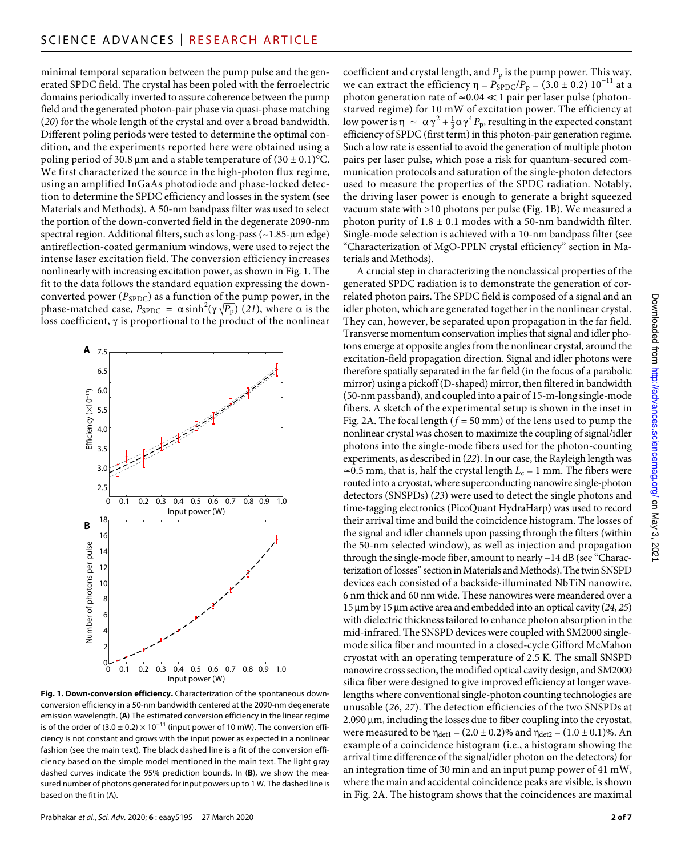minimal temporal separation between the pump pulse and the generated SPDC field. The crystal has been poled with the ferroelectric domains periodically inverted to assure coherence between the pump field and the generated photon-pair phase via quasi-phase matching (*20*) for the whole length of the crystal and over a broad bandwidth. Different poling periods were tested to determine the optimal condition, and the experiments reported here were obtained using a poling period of 30.8 µm and a stable temperature of  $(30 \pm 0.1)$ °C. We first characterized the source in the high-photon flux regime, using an amplified InGaAs photodiode and phase-locked detection to determine the SPDC efficiency and losses in the system (see Materials and Methods). A 50-nm bandpass filter was used to select the portion of the down-converted field in the degenerate 2090-nm spectral region. Additional filters, such as long-pass  $(\sim 1.85$ -µm edge) antireflection-coated germanium windows, were used to reject the intense laser excitation field. The conversion efficiency increases nonlinearly with increasing excitation power, as shown in Fig. 1. The fit to the data follows the standard equation expressing the downconverted power ( $P_{\text{SPDC}}$ ) as a function of the pump power, in the phase-matched case  $P_{\text{CPDE}} = \alpha \sinh^2(x \sqrt{P})$  (21) where  $\alpha$  is the phase-matched case,  $P_{\text{SPDC}} = \alpha \sinh^2(\gamma \sqrt{P_p})$  (*21*), where *α* is the loss coefficient,  $\gamma$  is proportional to the product of the nonlinear



**Fig. 1. Down-conversion efficiency.** Characterization of the spontaneous downconversion efficiency in a 50-nm bandwidth centered at the 2090-nm degenerate emission wavelength. (**A**) The estimated conversion efficiency in the linear regime is of the order of  $(3.0 \pm 0.2) \times 10^{-11}$  (input power of 10 mW). The conversion efficiency is not constant and grows with the input power as expected in a nonlinear fashion (see the main text). The black dashed line is a fit of the conversion efficiency based on the simple model mentioned in the main text. The light gray dashed curves indicate the 95% prediction bounds. In (**B**), we show the measured number of photons generated for input powers up to 1 W. The dashed line is based on the fit in (A).

coefficient and crystal length, and  $P_p$  is the pump power. This way, we can extract the efficiency  $η = P_{SPDC}/P_p = (3.0 \pm 0.2) 10^{-11}$  at a photon generation rate of  $\simeq$  0.04  $\ll$  1 pair per laser pulse (photonstarved regime) for 10 mW of excitation power. The efficiency at low power is  $\eta \simeq \alpha \gamma^2 + \frac{1}{3} \alpha \gamma^4 P_p$ , resulting in the expected constant efficiency of SPDC (first term) in this photon-pair generation regime. Such a low rate is essential to avoid the generation of multiple photon pairs per laser pulse, which pose a risk for quantum-secured communication protocols and saturation of the single-photon detectors used to measure the properties of the SPDC radiation. Notably, the driving laser power is enough to generate a bright squeezed vacuum state with >10 photons per pulse (Fig. 1B). We measured a photon purity of  $1.8 \pm 0.1$  modes with a 50-nm bandwidth filter. Single-mode selection is achieved with a 10-nm bandpass filter (see "Characterization of MgO-PPLN crystal efficiency" section in Materials and Methods).

A crucial step in characterizing the nonclassical properties of the generated SPDC radiation is to demonstrate the generation of correlated photon pairs. The SPDC field is composed of a signal and an idler photon, which are generated together in the nonlinear crystal. They can, however, be separated upon propagation in the far field. Transverse momentum conservation implies that signal and idler photons emerge at opposite angles from the nonlinear crystal, around the excitation-field propagation direction. Signal and idler photons were therefore spatially separated in the far field (in the focus of a parabolic mirror) using a pickoff (D-shaped) mirror, then filtered in bandwidth (50-nm passband), and coupled into a pair of 15-m-long single-mode fibers. A sketch of the experimental setup is shown in the inset in Fig. 2A. The focal length  $(f = 50 \text{ mm})$  of the lens used to pump the nonlinear crystal was chosen to maximize the coupling of signal/idler photons into the single-mode fibers used for the photon-counting experiments, as described in (*22*). In our case, the Rayleigh length was  $\approx$ 0.5 mm, that is, half the crystal length  $L_c$  = 1 mm. The fibers were routed into a cryostat, where superconducting nanowire single-photon detectors (SNSPDs) (*23*) were used to detect the single photons and time-tagging electronics (PicoQuant HydraHarp) was used to record their arrival time and build the coincidence histogram. The losses of the signal and idler channels upon passing through the filters (within the 50-nm selected window), as well as injection and propagation through the single-mode fiber, amount to nearly −14 dB (see "Characterization of losses" section in Materials and Methods). The twin SNSPD devices each consisted of a backside-illuminated NbTiN nanowire, 6 nm thick and 60 nm wide. These nanowires were meandered over a 15 m by 15 m active area and embedded into an optical cavity (*24*, *25*) with dielectric thickness tailored to enhance photon absorption in the mid-infrared. The SNSPD devices were coupled with SM2000 singlemode silica fiber and mounted in a closed-cycle Gifford McMahon cryostat with an operating temperature of 2.5 K. The small SNSPD nanowire cross section, the modified optical cavity design, and SM2000 silica fiber were designed to give improved efficiency at longer wavelengths where conventional single-photon counting technologies are unusable (*26*, *27*). The detection efficiencies of the two SNSPDs at 2.090 µm, including the losses due to fiber coupling into the cryostat, were measured to be  $\eta_{\text{det}1} = (2.0 \pm 0.2)\%$  and  $\eta_{\text{det}2} = (1.0 \pm 0.1)\%$ . An example of a coincidence histogram (i.e., a histogram showing the arrival time difference of the signal/idler photon on the detectors) for an integration time of 30 min and an input pump power of 41 mW, where the main and accidental coincidence peaks are visible, is shown in Fig. 2A. The histogram shows that the coincidences are maximal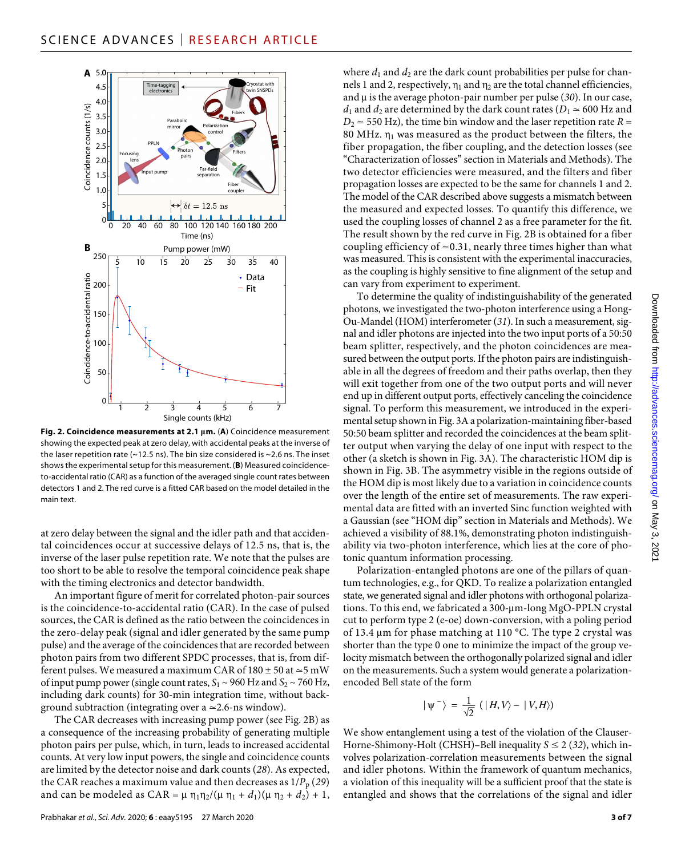

**Fig. 2. Coincidence measurements at 2.1 m.** (**A**) Coincidence measurement showing the expected peak at zero delay, with accidental peaks at the inverse of the laser repetition rate ( $\sim$ 12.5 ns). The bin size considered is  $\sim$ 2.6 ns. The inset shows the experimental setup for this measurement. (**B**) Measured coincidenceto-accidental ratio (CAR) as a function of the averaged single count rates between detectors 1 and 2. The red curve is a fitted CAR based on the model detailed in the main text.

at zero delay between the signal and the idler path and that accidental coincidences occur at successive delays of 12.5 ns, that is, the inverse of the laser pulse repetition rate. We note that the pulses are too short to be able to resolve the temporal coincidence peak shape with the timing electronics and detector bandwidth.

An important figure of merit for correlated photon-pair sources is the coincidence-to-accidental ratio (CAR). In the case of pulsed sources, the CAR is defined as the ratio between the coincidences in the zero-delay peak (signal and idler generated by the same pump pulse) and the average of the coincidences that are recorded between photon pairs from two different SPDC processes, that is, from different pulses. We measured a maximum CAR of  $180 \pm 50$  at  $\simeq 5$  mW of input pump power (single count rates,  $S_1 \sim 960$  Hz and  $S_2 \sim 760$  Hz, including dark counts) for 30-min integration time, without background subtraction (integrating over a  $\simeq$  2.6-ns window).

The CAR decreases with increasing pump power (see Fig. 2B) as a consequence of the increasing probability of generating multiple photon pairs per pulse, which, in turn, leads to increased accidental counts. At very low input powers, the single and coincidence counts are limited by the detector noise and dark counts (*28*). As expected, the CAR reaches a maximum value and then decreases as  $1/P_p(29)$ and can be modeled as CAR =  $\mu$   $\eta_1 \eta_2 / (\mu \eta_1 + d_1)(\mu \eta_2 + d_2) + 1$ ,

where  $d_1$  and  $d_2$  are the dark count probabilities per pulse for channels 1 and 2, respectively,  $\eta_1$  and  $\eta_2$  are the total channel efficiencies, and  $\mu$  is the average photon-pair number per pulse (30). In our case, *d*<sub>1</sub> and *d*<sub>2</sub> are determined by the dark count rates ( $D_1 \approx 600$  Hz and  $D_2 \approx 550$  Hz), the time bin window and the laser repetition rate  $R =$ 80 MHz.  $\eta_1$  was measured as the product between the filters, the fiber propagation, the fiber coupling, and the detection losses (see "Characterization of losses" section in Materials and Methods). The two detector efficiencies were measured, and the filters and fiber propagation losses are expected to be the same for channels 1 and 2. The model of the CAR described above suggests a mismatch between the measured and expected losses. To quantify this difference, we used the coupling losses of channel 2 as a free parameter for the fit. The result shown by the red curve in Fig. 2B is obtained for a fiber coupling efficiency of  $\simeq$  0.31, nearly three times higher than what was measured. This is consistent with the experimental inaccuracies, as the coupling is highly sensitive to fine alignment of the setup and can vary from experiment to experiment.

To determine the quality of indistinguishability of the generated photons, we investigated the two-photon interference using a Hong-Ou-Mandel (HOM) interferometer (*31*). In such a measurement, signal and idler photons are injected into the two input ports of a 50:50 beam splitter, respectively, and the photon coincidences are measured between the output ports. If the photon pairs are indistinguishable in all the degrees of freedom and their paths overlap, then they will exit together from one of the two output ports and will never end up in different output ports, effectively canceling the coincidence signal. To perform this measurement, we introduced in the experimental setup shown in Fig. 3A a polarization-maintaining fiber-based 50:50 beam splitter and recorded the coincidences at the beam splitter output when varying the delay of one input with respect to the other (a sketch is shown in Fig. 3A). The characteristic HOM dip is shown in Fig. 3B. The asymmetry visible in the regions outside of the HOM dip is most likely due to a variation in coincidence counts over the length of the entire set of measurements. The raw experimental data are fitted with an inverted Sinc function weighted with a Gaussian (see "HOM dip" section in Materials and Methods). We achieved a visibility of 88.1%, demonstrating photon indistinguishability via two-photon interference, which lies at the core of photonic quantum information processing.

Polarization-entangled photons are one of the pillars of quantum technologies, e.g., for QKD. To realize a polarization entangled state, we generated signal and idler photons with orthogonal polarizations. To this end, we fabricated a 300-um-long MgO-PPLN crystal cut to perform type 2 (e-oe) down-conversion, with a poling period of 13.4  $\mu$ m for phase matching at 110 °C. The type 2 crystal was shorter than the type 0 one to minimize the impact of the group velocity mismatch between the orthogonally polarized signal and idler on the measurements. Such a system would generate a polarizationencoded Bell state of the form

$$
|\psi^{-}\rangle = \frac{1}{\sqrt{2}} (|H, V\rangle - |V, H\rangle)
$$

We show entanglement using a test of the violation of the Clauser-Horne-Shimony-Holt (CHSH)–Bell inequality *S* ≤ 2 (*32*), which involves polarization-correlation measurements between the signal and idler photons. Within the framework of quantum mechanics, a violation of this inequality will be a sufficient proof that the state is entangled and shows that the correlations of the signal and idler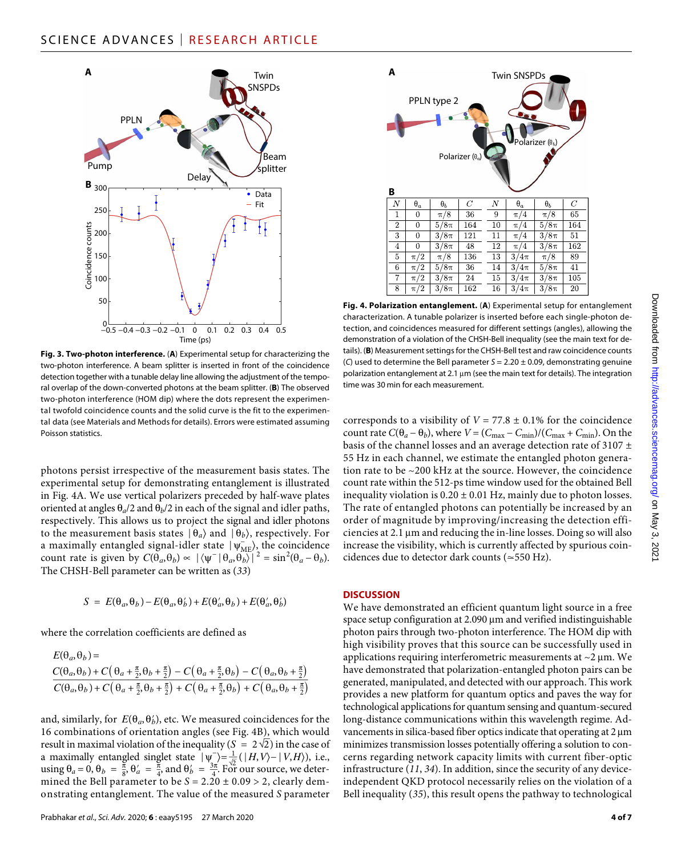

**Fig. 3. Two-photon interference.** (**A**) Experimental setup for characterizing the two-photon interference. A beam splitter is inserted in front of the coincidence detection together with a tunable delay line allowing the adjustment of the temporal overlap of the down-converted photons at the beam splitter. (**B**) The observed two-photon interference (HOM dip) where the dots represent the experimental twofold coincidence counts and the solid curve is the fit to the experimental data (see Materials and Methods for details). Errors were estimated assuming Poisson statistics.

photons persist irrespective of the measurement basis states. The experimental setup for demonstrating entanglement is illustrated in Fig. 4A. We use vertical polarizers preceded by half-wave plates oriented at angles  $\theta_a/2$  and  $\theta_b/2$  in each of the signal and idler paths, respectively. This allows us to project the signal and idler photons to the measurement basis states  $|\theta_a\rangle$  and  $|\theta_b\rangle$ , respectively. For a maximally entangled signal-idler state  $|\psi_{\text{ME}}^{\dagger}\rangle$ , the coincidence count rate is given by  $C(\hat{\theta}_a, \hat{\theta}_b) \propto |\langle \psi^- | \hat{\theta}_a, \hat{\theta}_b \rangle|^2 = \sin^2(\theta_a - \theta_b)$ . The CHSH-Bell parameter can be written as (*33*)

$$
S = E(\theta_a, \theta_b) - E(\theta_a, \theta'_b) + E(\theta'_a, \theta_b) + E(\theta'_a, \theta'_b)
$$

where the correlation coefficients are defined as

Here the correlation coefficients are defined as  
\n
$$
E(\theta_a, \theta_b) =
$$
\n
$$
\frac{C(\theta_a, \theta_b) + C(\theta_a + \frac{\pi}{2}, \theta_b + \frac{\pi}{2}) - C(\theta_a + \frac{\pi}{2}, \theta_b) - C(\theta_a, \theta_b + \frac{\pi}{2})}{C(\theta_a, \theta_b) + C(\theta_a + \frac{\pi}{2}, \theta_b + \frac{\pi}{2}) + C(\theta_a + \frac{\pi}{2}, \theta_b) + C(\theta_a, \theta_b + \frac{\pi}{2})}
$$

and, similarly, for  $E(\theta_a, \theta'_b)$ , etc. We measured coincidences for the 16 combinations of orientation angles (see Fig. 4B), which would  $\frac{1}{2}$ result in maximal violation of the inequality  $(S = 2\sqrt{2})$  in the case of a maximally entangled singlet state  $|\psi|^2 = \frac{1}{\sqrt{2}} (|H, V\rangle - |V, H\rangle)$ , i.e., using  $\theta_a = 0$ ,  $\theta_b = \frac{\pi}{8}$ ,  $\theta'_a = \frac{\pi}{4}$ , and  $\theta'_b = \frac{3\pi}{4}$ . For our source, we determined the Bell parameter to be *S* = 2.20 ± 0.09 > 2, clearly demonstrating entanglement. The value of the measured *S* parameter



**Fig. 4. Polarization entanglement.** (**A**) Experimental setup for entanglement characterization. A tunable polarizer is inserted before each single-photon detection, and coincidences measured for different settings (angles), allowing the demonstration of a violation of the CHSH-Bell inequality (see the main text for details). (**B**) Measurement settings for the CHSH-Bell test and raw coincidence counts (*C*) used to determine the Bell parameter *S* = 2.20 ± 0.09, demonstrating genuine polarization entanglement at 2.1  $\mu$ m (see the main text for details). The integration time was 30 min for each measurement.

corresponds to a visibility of  $V = 77.8 \pm 0.1\%$  for the coincidence count rate  $C(\theta_a - \theta_b)$ , where  $V = (C_{\text{max}} - C_{\text{min}})/(C_{\text{max}} + C_{\text{min}})$ . On the basis of the channel losses and an average detection rate of 3107  $\pm$ 55 Hz in each channel, we estimate the entangled photon generation rate to be ~200 kHz at the source. However, the coincidence count rate within the 512-ps time window used for the obtained Bell inequality violation is  $0.20 \pm 0.01$  Hz, mainly due to photon losses. The rate of entangled photons can potentially be increased by an order of magnitude by improving/increasing the detection effi $c$ iencies at 2.1  $\mu$ m and reducing the in-line losses. Doing so will also increase the visibility, which is currently affected by spurious coincidences due to detector dark counts (≃550 Hz).

#### **DISCUSSION**

We have demonstrated an efficient quantum light source in a free space setup configuration at 2.090 µm and verified indistinguishable photon pairs through two-photon interference. The HOM dip with high visibility proves that this source can be successfully used in applications requiring interferometric measurements at  $\sim$ 2  $\mu$ m. We have demonstrated that polarization-entangled photon pairs can be generated, manipulated, and detected with our approach. This work provides a new platform for quantum optics and paves the way for technological applications for quantum sensing and quantum-secured long-distance communications within this wavelength regime. Advancements in silica-based fiber optics indicate that operating at 2  $\mu$ m minimizes transmission losses potentially offering a solution to concerns regarding network capacity limits with current fiber-optic infrastructure (*11*, *34*). In addition, since the security of any deviceindependent QKD protocol necessarily relies on the violation of a Bell inequality (*35*), this result opens the pathway to technological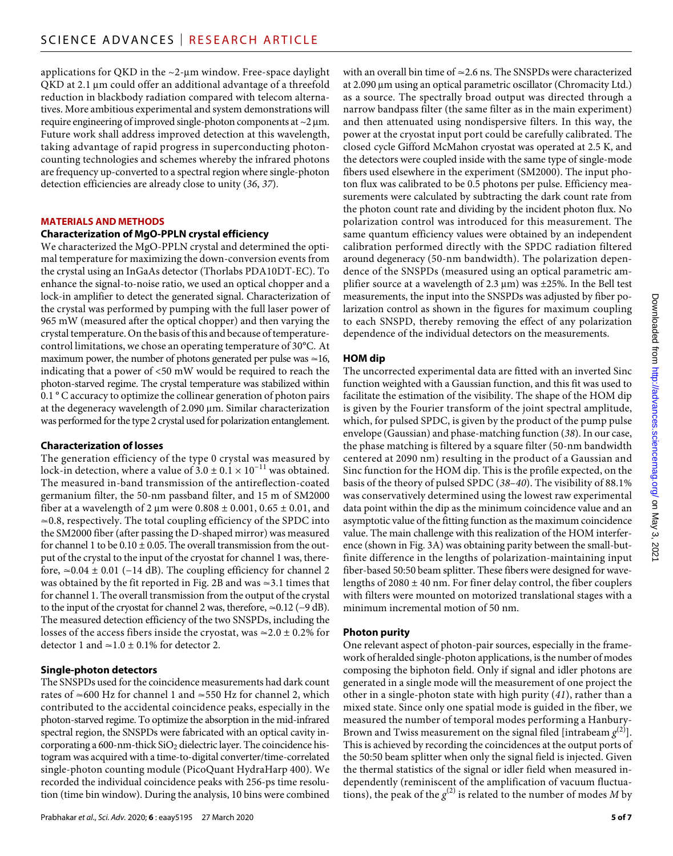applications for QKD in the  $\sim$ 2-µm window. Free-space daylight  $QKD$  at 2.1  $\mu$ m could offer an additional advantage of a threefold reduction in blackbody radiation compared with telecom alternatives. More ambitious experimental and system demonstrations will require engineering of improved single-photon components at  $\sim$ 2  $\mu$ m. Future work shall address improved detection at this wavelength, taking advantage of rapid progress in superconducting photoncounting technologies and schemes whereby the infrared photons are frequency up-converted to a spectral region where single-photon detection efficiencies are already close to unity (*36*, *37*).

#### **MATERIALS AND METHODS**

#### **Characterization of MgO-PPLN crystal efficiency**

We characterized the MgO-PPLN crystal and determined the optimal temperature for maximizing the down-conversion events from the crystal using an InGaAs detector (Thorlabs PDA10DT-EC). To enhance the signal-to-noise ratio, we used an optical chopper and a lock-in amplifier to detect the generated signal. Characterization of the crystal was performed by pumping with the full laser power of 965 mW (measured after the optical chopper) and then varying the crystal temperature. On the basis of this and because of temperaturecontrol limitations, we chose an operating temperature of 30°C. At maximum power, the number of photons generated per pulse was  $\simeq$ 16, indicating that a power of <50 mW would be required to reach the photon-starved regime. The crystal temperature was stabilized within 0.1 ° C accuracy to optimize the collinear generation of photon pairs at the degeneracy wavelength of 2.090 µm. Similar characterization was performed for the type 2 crystal used for polarization entanglement.

# **Characterization oflosses**

The generation efficiency of the type 0 crystal was measured by lock-in detection, where a value of  $3.0 \pm 0.1 \times 10^{-11}$  was obtained. The measured in-band transmission of the antireflection-coated germanium filter, the 50-nm passband filter, and 15 m of SM2000 fiber at a wavelength of 2  $\mu$ m were 0.808  $\pm$  0.001, 0.65  $\pm$  0.01, and ≃0.8, respectively. The total coupling efficiency of the SPDC into the SM2000 fiber (after passing the D-shaped mirror) was measured for channel 1 to be  $0.10 \pm 0.05$ . The overall transmission from the output of the crystal to the input of the cryostat for channel 1 was, therefore, ≃0.04 ± 0.01 (−14 dB). The coupling efficiency for channel 2 was obtained by the fit reported in Fig. 2B and was ≃3.1 times that for channel 1. The overall transmission from the output of the crystal to the input of the cryostat for channel 2 was, therefore, ≃0.12 (−9 dB). The measured detection efficiency of the two SNSPDs, including the losses of the access fibers inside the cryostat, was  $\approx 2.0 \pm 0.2\%$  for detector 1 and  $\simeq$  1.0 ± 0.1% for detector 2.

# **Single-photon detectors**

The SNSPDs used for the coincidence measurements had dark count rates of ≃600 Hz for channel 1 and ≃550 Hz for channel 2, which contributed to the accidental coincidence peaks, especially in the photon-starved regime. To optimize the absorption in the mid-infrared spectral region, the SNSPDs were fabricated with an optical cavity incorporating a 600-nm-thick  $SiO<sub>2</sub>$  dielectric layer. The coincidence histogram was acquired with a time-to-digital converter/time-correlated single-photon counting module (PicoQuant HydraHarp 400). We recorded the individual coincidence peaks with 256-ps time resolution (time bin window). During the analysis, 10 bins were combined

with an overall bin time of ≃2.6 ns. The SNSPDs were characterized at 2.090 µm using an optical parametric oscillator (Chromacity Ltd.) as a source. The spectrally broad output was directed through a narrow bandpass filter (the same filter as in the main experiment) and then attenuated using nondispersive filters. In this way, the power at the cryostat input port could be carefully calibrated. The closed cycle Gifford McMahon cryostat was operated at 2.5 K, and the detectors were coupled inside with the same type of single-mode fibers used elsewhere in the experiment (SM2000). The input photon flux was calibrated to be 0.5 photons per pulse. Efficiency measurements were calculated by subtracting the dark count rate from the photon count rate and dividing by the incident photon flux. No polarization control was introduced for this measurement. The same quantum efficiency values were obtained by an independent calibration performed directly with the SPDC radiation filtered around degeneracy (50-nm bandwidth). The polarization dependence of the SNSPDs (measured using an optical parametric amplifier source at a wavelength of 2.3  $\mu$ m) was  $\pm$ 25%. In the Bell test measurements, the input into the SNSPDs was adjusted by fiber polarization control as shown in the figures for maximum coupling to each SNSPD, thereby removing the effect of any polarization dependence of the individual detectors on the measurements.

# **HOM dip**

The uncorrected experimental data are fitted with an inverted Sinc function weighted with a Gaussian function, and this fit was used to facilitate the estimation of the visibility. The shape of the HOM dip is given by the Fourier transform of the joint spectral amplitude, which, for pulsed SPDC, is given by the product of the pump pulse envelope (Gaussian) and phase-matching function (*38*). In our case, the phase matching is filtered by a square filter (50-nm bandwidth centered at 2090 nm) resulting in the product of a Gaussian and Sinc function for the HOM dip. This is the profile expected, on the basis of the theory of pulsed SPDC (*38*–*40*). The visibility of 88.1% was conservatively determined using the lowest raw experimental data point within the dip as the minimum coincidence value and an asymptotic value of the fitting function as the maximum coincidence value. The main challenge with this realization of the HOM interference (shown in Fig. 3A) was obtaining parity between the small-butfinite difference in the lengths of polarization-maintaining input fiber-based 50:50 beam splitter. These fibers were designed for wavelengths of  $2080 \pm 40$  nm. For finer delay control, the fiber couplers with filters were mounted on motorized translational stages with a minimum incremental motion of 50 nm.

# **Photon purity**

One relevant aspect of photon-pair sources, especially in the framework of heralded single-photon applications, is the number of modes composing the biphoton field. Only if signal and idler photons are generated in a single mode will the measurement of one project the other in a single-photon state with high purity (*41*), rather than a mixed state. Since only one spatial mode is guided in the fiber, we measured the number of temporal modes performing a Hanbury-Brown and Twiss measurement on the signal filed [intrabeam  $g^{(2)}$ ]. This is achieved by recording the coincidences at the output ports of the 50:50 beam splitter when only the signal field is injected. Given the thermal statistics of the signal or idler field when measured independently (reminiscent of the amplification of vacuum fluctuations), the peak of the  $g^{(2)}$  is related to the number of modes M by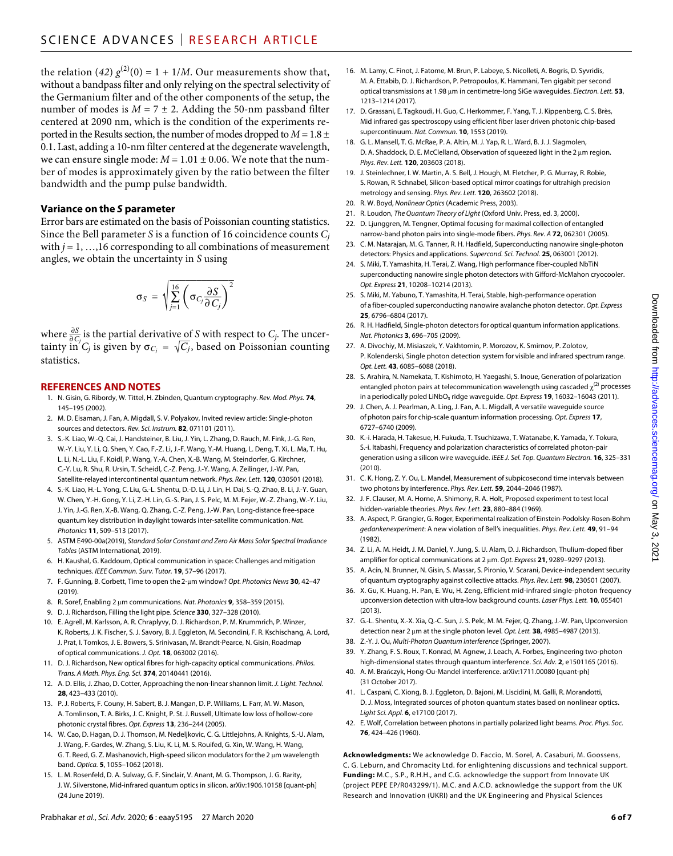the relation (42)  $g^{(2)}(0) = 1 + 1/M$ . Our measurements show that, without a bandpass filter and only relying on the spectral selectivity of the Germanium filter and of the other components of the setup, the number of modes is  $M = 7 \pm 2$ . Adding the 50-nm passband filter centered at 2090 nm, which is the condition of the experiments reported in the Results section, the number of modes dropped to  $M = 1.8 \pm 1.8 \pm 1.5$ 0.1. Last, adding a 10-nm filter centered at the degenerate wavelength, we can ensure single mode:  $M = 1.01 \pm 0.06$ . We note that the number of modes is approximately given by the ratio between the filter bandwidth and the pump pulse bandwidth.

#### **Variance on the** *S* **parameter**

Error bars are estimated on the basis of Poissonian counting statistics. Since the Bell parameter *S* is a function of 16 coincidence counts *Cj* with  $j = 1, \ldots, 16$  corresponding to all combinations of measurement angles, we obtain the uncertainty in *S* using

$$
\sigma_S = \sqrt{\sum_{j=1}^{16} \left( \sigma_{C_j} \frac{\partial S}{\partial C_j} \right)^2}
$$

where  $\frac{\partial S}{\partial C_i}$  is the partial derivative of *S* with respect to *C<sub>j</sub>*. The uncertainty in *C<sub>i</sub>* is given by  $\sigma_{\beta} = \sqrt{C_i}$ , based on Poissonian counting  $\frac{\partial C_j}{\partial t}$  is given by  $\sigma_{C_j} = \sqrt{C_j}$ , based on Poissonian counting statistics.

# **REFERENCES AND NOTES**

- 1. N. Gisin, G. Ribordy, W. Tittel, H. Zbinden, Quantum cryptography. *Rev. Mod. Phys.* **74**, 145–195 (2002).
- 2. M. D. Eisaman, J. Fan, A. Migdall, S. V. Polyakov, Invited review article: Single-photon sources and detectors. *Rev. Sci. Instrum.* **82**, 071101 (2011).
- 3. S.-K. Liao, W.-Q. Cai, J. Handsteiner, B. Liu, J. Yin, L. Zhang, D. Rauch, M. Fink, J.-G. Ren, W.-Y. Liu, Y. Li, Q. Shen, Y. Cao, F.-Z. Li, J.-F. Wang, Y.-M. Huang, L. Deng, T. Xi, L. Ma, T. Hu, L. Li, N.-L. Liu, F. Koidl, P. Wang, Y.-A. Chen, X.-B. Wang, M. Steindorfer, G. Kirchner, C.-Y. Lu, R. Shu, R. Ursin, T. Scheidl, C.-Z. Peng, J.-Y. Wang, A. Zeilinger, J.-W. Pan, Satellite-relayed intercontinental quantum network. *Phys. Rev. Lett.* **120**, 030501 (2018).
- 4. S.-K. Liao, H.-L. Yong, C. Liu, G.-L. Shentu, D.-D. Li, J. Lin, H. Dai, S.-Q. Zhao, B. Li, J.-Y. Guan, W. Chen, Y.-H. Gong, Y. Li, Z.-H. Lin, G.-S. Pan, J. S. Pelc, M. M. Fejer, W.-Z. Zhang, W.-Y. Liu, J. Yin, J.-G. Ren, X.-B. Wang, Q. Zhang, C.-Z. Peng, J.-W. Pan, Long-distance free-space quantum key distribution in daylight towards inter-satellite communication. *Nat. Photonics* **11**, 509–513 (2017).
- 5. ASTM E490-00a(2019), *Standard Solar Constant and Zero Air Mass Solar Spectral Irradiance Tables* (ASTM International, 2019).
- 6. H. Kaushal, G. Kaddoum, Optical communication in space: Challenges and mitigation techniques. *IEEE Commun. Surv. Tutor.* **19**, 57–96 (2017).
- 7. F. Gunning, B. Corbett, Time to open the 2-µm window? Opt. Photonics News 30, 42-47 (2019).
- 8. R. Soref, Enabling 2 µm communications. *Nat. Photonics* 9, 358-359 (2015).
- 9. D. J. Richardson, Filling the light pipe. *Science* **330**, 327–328 (2010).
- 10. E. Agrell, M. Karlsson, A. R. Chraplyvy, D. J. Richardson, P. M. Krummrich, P. Winzer, K. Roberts, J. K. Fischer, S. J. Savory, B. J. Eggleton, M. Secondini, F. R. Kschischang, A. Lord, J. Prat, I. Tomkos, J. E. Bowers, S. Srinivasan, M. Brandt-Pearce, N. Gisin, Roadmap of optical communications. *J. Opt.* **18**, 063002 (2016).
- 11. D. J. Richardson, New optical fibres for high-capacity optical communications. *Philos. Trans. A Math. Phys. Eng. Sci.* **374**, 20140441 (2016).
- 12. A. D. Ellis, J. Zhao, D. Cotter, Approaching the non-linear shannon limit. *J. Light. Technol.* **28**, 423–433 (2010).
- 13. P. J. Roberts, F. Couny, H. Sabert, B. J. Mangan, D. P. Williams, L. Farr, M. W. Mason, A. Tomlinson, T. A. Birks, J. C. Knight, P. St.J. Russell, Ultimate low loss of hollow-core photonic crystal fibres. *Opt. Express* **13**, 236–244 (2005).
- 14. W. Cao, D. Hagan, D. J. Thomson, M. Nedeljkovic, C. G. Littlejohns, A. Knights, S.-U. Alam, J. Wang, F. Gardes, W. Zhang, S. Liu, K. Li, M. S. Rouifed, G. Xin, W. Wang, H. Wang, G. T. Reed, G. Z. Mashanovich, High-speed silicon modulators for the 2  $\mu$ m wavelength band. *Optica.* **5**, 1055–1062 (2018).
- 15. L. M. Rosenfeld, D. A. Sulway, G. F. Sinclair, V. Anant, M. G. Thompson, J. G. Rarity, J. W. Silverstone, Mid-infrared quantum optics in silicon. arXiv:[1906.10158](http://arxiv.org/abs/1906.10158) [quant-ph] (24 June 2019).
- 16. M. Lamy, C. Finot, J. Fatome, M. Brun, P. Labeye, S. Nicolleti, A. Bogris, D. Syvridis, M. A. Ettabib, D. J. Richardson, P. Petropoulos, K. Hammani, Ten gigabit per second optical transmissions at 1.98 µm in centimetre-long SiGe waveguides. *Electron*. Lett. **53**, 1213–1214 (2017).
- 17. D. Grassani, E. Tagkoudi, H. Guo, C. Herkommer, F. Yang, T. J. Kippenberg, C. S. Brès, Mid infrared gas spectroscopy using efficient fiber laser driven photonic chip-based supercontinuum. *Nat. Commun.* **10**, 1553 (2019).
- 18. G. L. Mansell, T. G. McRae, P. A. Altin, M. J. Yap, R. L. Ward, B. J. J. Slagmolen, D. A. Shaddock, D. E. McClelland, Observation of squeezed light in the 2 µm region. *Phys. Rev. Lett.* **120**, 203603 (2018).
- 19. J. Steinlechner, I. W. Martin, A. S. Bell, J. Hough, M. Fletcher, P. G. Murray, R. Robie, S. Rowan, R. Schnabel, Silicon-based optical mirror coatings for ultrahigh precision metrology and sensing. *Phys. Rev. Lett.* **120**, 263602 (2018).
- 20. R. W. Boyd, *Nonlinear Optics* (Academic Press, 2003).
- 21. R. Loudon, *The Quantum Theory of Light* (Oxford Univ. Press, ed. 3, 2000).
- 22. D. Ljunggren, M. Tengner, Optimal focusing for maximal collection of entangled narrow-band photon pairs into single-mode fibers. *Phys. Rev. A* **72**, 062301 (2005).
- 23. C. M. Natarajan, M. G. Tanner, R. H. Hadfield, Superconducting nanowire single-photon detectors: Physics and applications. *Supercond. Sci. Technol.* **25**, 063001 (2012).
- 24. S. Miki, T. Yamashita, H. Terai, Z. Wang, High performance fiber-coupled NbTiN superconducting nanowire single photon detectors with Gifford-McMahon cryocooler. *Opt. Express* **21**, 10208–10214 (2013).
- 25. S. Miki, M. Yabuno, T. Yamashita, H. Terai, Stable, high-performance operation of a fiber-coupled superconducting nanowire avalanche photon detector. *Opt. Express* **25**, 6796–6804 (2017).
- 26. R. H. Hadfield, Single-photon detectors for optical quantum information applications. *Nat. Photonics* **3**, 696–705 (2009).
- 27. A. Divochiy, M. Misiaszek, Y. Vakhtomin, P. Morozov, K. Smirnov, P. Zolotov, P. Kolenderski, Single photon detection system for visible and infrared spectrum range. *Opt. Lett.* **43**, 6085–6088 (2018).
- 28. S. Arahira, N. Namekata, T. Kishimoto, H. Yaegashi, S. Inoue, Generation of polarization entangled photon pairs at telecommunication wavelength using cascaded  $\chi^{(2)}$  processes in a periodically poled LiNbO₃ ridge waveguide. *Opt. Express* **19**, 16032–16043 (2011).
- 29. J. Chen, A. J. Pearlman, A. Ling, J. Fan, A. L. Migdall, A versatile waveguide source of photon pairs for chip-scale quantum information processing. *Opt. Express* **17**, 6727–6740 (2009).
- 30. K.-i. Harada, H. Takesue, H. Fukuda, T. Tsuchizawa, T. Watanabe, K. Yamada, Y. Tokura, S.-i. Itabashi, Frequency and polarization characteristics of correlated photon-pair generation using a silicon wire waveguide. *IEEE J. Sel. Top. Quantum Electron.* **16**, 325–331 (2010).
- 31. C. K. Hong, Z. Y. Ou, L. Mandel, Measurement of subpicosecond time intervals between two photons by interference. *Phys. Rev. Lett.* **59**, 2044–2046 (1987).
- 32. J. F. Clauser, M. A. Horne, A. Shimony, R. A. Holt, Proposed experiment to test local hidden-variable theories. *Phys. Rev. Lett.* **23**, 880–884 (1969).
- 33. A. Aspect, P. Grangier, G. Roger, Experimental realization of Einstein-Podolsky-Rosen-Bohm *gedankenexperiment*: A new violation of Bell's inequalities. *Phys. Rev. Lett.* **49**, 91–94 (1982).
- 34. Z. Li, A. M. Heidt, J. M. Daniel, Y. Jung, S. U. Alam, D. J. Richardson, Thulium-doped fiber amplifier for optical communications at 2 m. *Opt. Express* **21**, 9289–9297 (2013).
- 35. A. Acín, N. Brunner, N. Gisin, S. Massar, S. Pironio, V. Scarani, Device-independent security of quantum cryptography against collective attacks. *Phys. Rev. Lett.* **98**, 230501 (2007).
- 36. X. Gu, K. Huang, H. Pan, E. Wu, H. Zeng, Efficient mid-infrared single-photon frequency upconversion detection with ultra-low background counts. *Laser Phys. Lett.* **10**, 055401 (2013).
- 37. G.-L. Shentu, X.-X. Xia, Q.-C. Sun, J. S. Pelc, M. M. Fejer, Q. Zhang, J.-W. Pan, Upconversion detection near 2 μm at the single photon level. *Opt. Lett.* **38**, 4985-4987 (2013).
- 38. Z.-Y. J. Ou, *Multi-Photon Quantum Interference* (Springer, 2007).
- 39. Y. Zhang, F. S. Roux, T. Konrad, M. Agnew, J. Leach, A. Forbes, Engineering two-photon high-dimensional states through quantum interference. *Sci. Adv.* **2**, e1501165 (2016).
- 40. A. M. Brańczyk, Hong-Ou-Mandel interference. arXiv:[1711.00080](https://arxiv.org/abs/1711.00080) [quant-ph] (31 October 2017).
- 41. L. Caspani, C. Xiong, B. J. Eggleton, D. Bajoni, M. Liscidini, M. Galli, R. Morandotti, D. J. Moss, Integrated sources of photon quantum states based on nonlinear optics. *Light Sci. Appl.* **6**, e17100 (2017).
- 42. E. Wolf, Correlation between photons in partially polarized light beams. *Proc. Phys. Soc.* **76**, 424–426 (1960).

**Acknowledgments:** We acknowledge D. Faccio, M. Sorel, A. Casaburi, M. Goossens, C. G. Leburn, and Chromacity Ltd. for enlightening discussions and technical support. **Funding:** M.C., S.P., R.H.H., and C.G. acknowledge the support from Innovate UK (project PEPE EP/R043299/1). M.C. and A.C.D. acknowledge the support from the UK Research and Innovation (UKRI) and the UK Engineering and Physical Sciences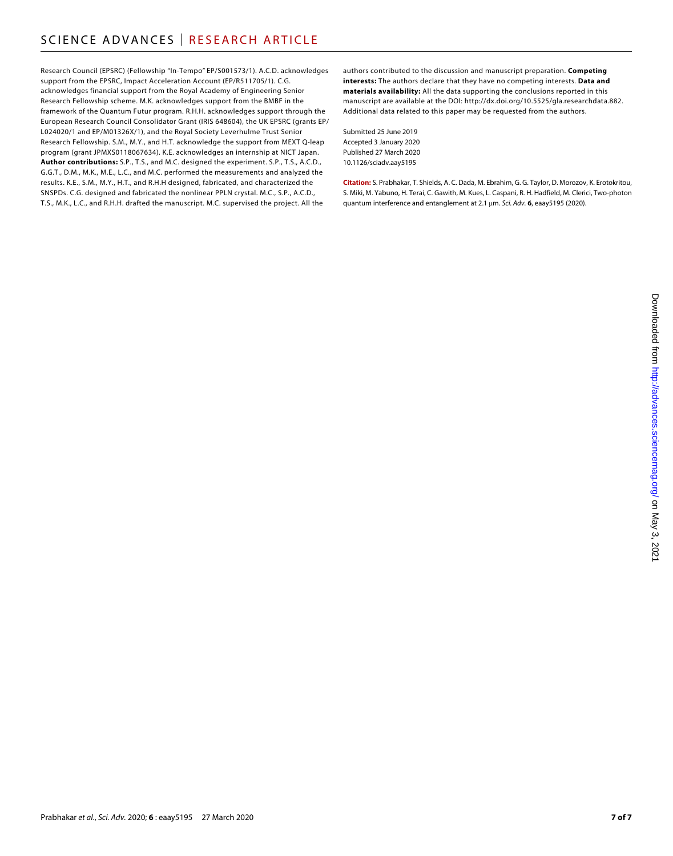Research Council (EPSRC) (Fellowship "In-Tempo" EP/S001573/1). A.C.D. acknowledges support from the EPSRC, Impact Acceleration Account (EP/R511705/1). C.G. acknowledges financial support from the Royal Academy of Engineering Senior Research Fellowship scheme. M.K. acknowledges support from the BMBF in the framework of the Quantum Futur program. R.H.H. acknowledges support through the European Research Council Consolidator Grant (IRIS 648604), the UK EPSRC (grants EP/ L024020/1 and EP/M01326X/1), and the Royal Society Leverhulme Trust Senior Research Fellowship. S.M., M.Y., and H.T. acknowledge the support from MEXT Q-leap program (grant JPMXS0118067634). K.E. acknowledges an internship at NICT Japan. **Author contributions:** S.P., T.S., and M.C. designed the experiment. S.P., T.S., A.C.D., G.G.T., D.M., M.K., M.E., L.C., and M.C. performed the measurements and analyzed the results. K.E., S.M., M.Y., H.T., and R.H.H designed, fabricated, and characterized the SNSPDs. C.G. designed and fabricated the nonlinear PPLN crystal. M.C., S.P., A.C.D., T.S., M.K., L.C., and R.H.H. drafted the manuscript. M.C. supervised the project. All the

authors contributed to the discussion and manuscript preparation. **Competing interests:** The authors declare that they have no competing interests. **Data and materials availability:** All the data supporting the conclusions reported in this manuscript are available at the DOI: [http://dx.doi.org/10.5525/gla.researchdata.882.](http://dx.doi.org/10.5525/gla.researchdata.882) Additional data related to this paper may be requested from the authors.

Submitted 25 June 2019 Accepted 3 January 2020 Published 27 March 2020 10.1126/sciadv.aay5195

**Citation:** S. Prabhakar, T. Shields, A. C. Dada, M. Ebrahim, G. G. Taylor, D. Morozov, K. Erotokritou, S. Miki, M. Yabuno, H. Terai, C. Gawith, M. Kues, L. Caspani, R. H. Hadfield, M. Clerici, Two-photon quantum interference and entanglement at 2.1 m. *Sci. Adv.* **6**, eaay5195 (2020).